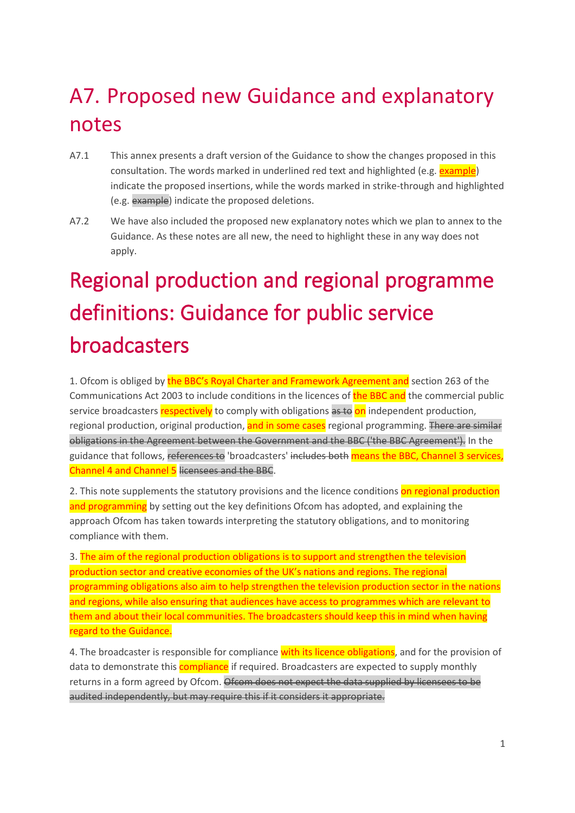# A7. Proposed new Guidance and explanatory notes

- A7.1 This annex presents a draft version of the Guidance to show the changes proposed in this consultation. The words marked in underlined red text and highlighted (e.g. **example**) indicate the proposed insertions, while the words marked in strike-through and highlighted (e.g. example) indicate the proposed deletions.
- A7.2 We have also included the proposed new explanatory notes which we plan to annex to the Guidance. As these notes are all new, the need to highlight these in any way does not apply.

# Regional production and regional programme definitions: Guidance for public service broadcasters

1. Ofcom is obliged by the BBC's Royal Charter and Framework Agreement and section 263 of the Communications Act 2003 to include conditions in the licences of the BBC and the commercial public service broadcasters respectively to comply with obligations as to on independent production, regional production, original production, and in some cases regional programming. There are similar obligations in the Agreement between the Government and the BBC ('the BBC Agreement'). In the guidance that follows, references to 'broadcasters' includes both means the BBC, Channel 3 services, Channel 4 and Channel 5 licensees and the BBC.

2. This note supplements the statutory provisions and the licence conditions on regional production and programming by setting out the key definitions Ofcom has adopted, and explaining the approach Ofcom has taken towards interpreting the statutory obligations, and to monitoring compliance with them.

3. The aim of the regional production obligations is to support and strengthen the television production sector and creative economies of the UK's nations and regions. The regional programming obligations also aim to help strengthen the television production sector in the nations and regions, while also ensuring that audiences have access to programmes which are relevant to them and about their local communities. The broadcasters should keep this in mind when having regard to the Guidance.

4. The broadcaster is responsible for compliance with its licence obligations, and for the provision of data to demonstrate this **compliance** if required. Broadcasters are expected to supply monthly returns in a form agreed by Ofcom. Ofcom does not expect the data supplied by licensees to be audited independently, but may require this if it considers it appropriate.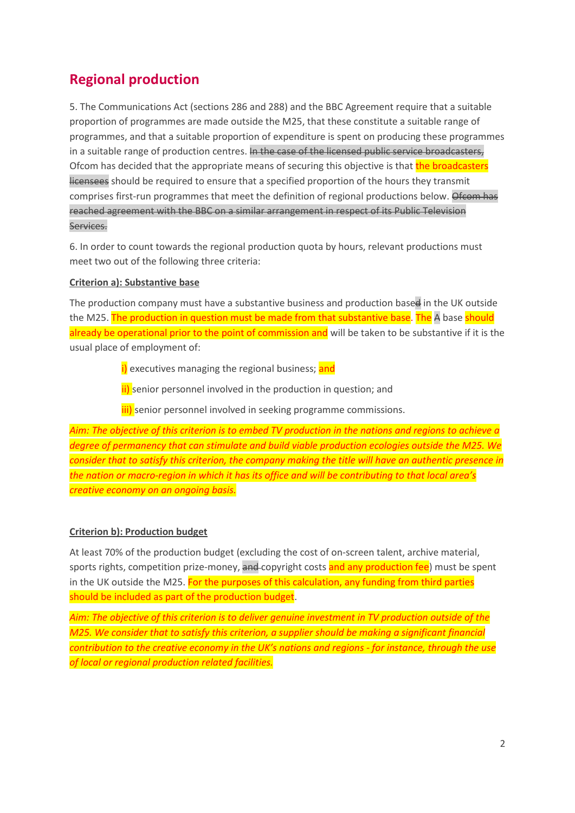# **Regional production**

5. The Communications Act (sections 286 and 288) and the BBC Agreement require that a suitable proportion of programmes are made outside the M25, that these constitute a suitable range of programmes, and that a suitable proportion of expenditure is spent on producing these programmes in a suitable range of production centres. In the case of the licensed public service broadcasters, Ofcom has decided that the appropriate means of securing this objective is that the broadcasters licensees should be required to ensure that a specified proportion of the hours they transmit comprises first-run programmes that meet the definition of regional productions below. Ofcom has reached agreement with the BBC on a similar arrangement in respect of its Public Television Services.

6. In order to count towards the regional production quota by hours, relevant productions must meet two out of the following three criteria:

#### **Criterion a): Substantive base**

The production company must have a substantive business and production based in the UK outside the M25. The production in question must be made from that substantive base. The A base should already be operational prior to the point of commission and will be taken to be substantive if it is the usual place of employment of:

i) executives managing the regional business; and

ii) senior personnel involved in the production in question; and

**iii)** senior personnel involved in seeking programme commissions.

*Aim: The objective of this criterion is to embed TV production in the nations and regions to achieve a degree of permanency that can stimulate and build viable production ecologies outside the M25. We consider that to satisfy this criterion, the company making the title will have an authentic presence in the nation or macro-region in which it has its office and will be contributing to that local area's creative economy on an ongoing basis.*

#### **Criterion b): Production budget**

At least 70% of the production budget (excluding the cost of on-screen talent, archive material, sports rights, competition prize-money, and copyright costs and any production fee) must be spent in the UK outside the M25. For the purposes of this calculation, any funding from third parties should be included as part of the production budget.

*Aim: The objective of this criterion is to deliver genuine investment in TV production outside of the M25. We consider that to satisfy this criterion, a supplier should be making a significant financial contribution to the creative economy in the UK's nations and regions - for instance, through the use of local or regional production related facilities.*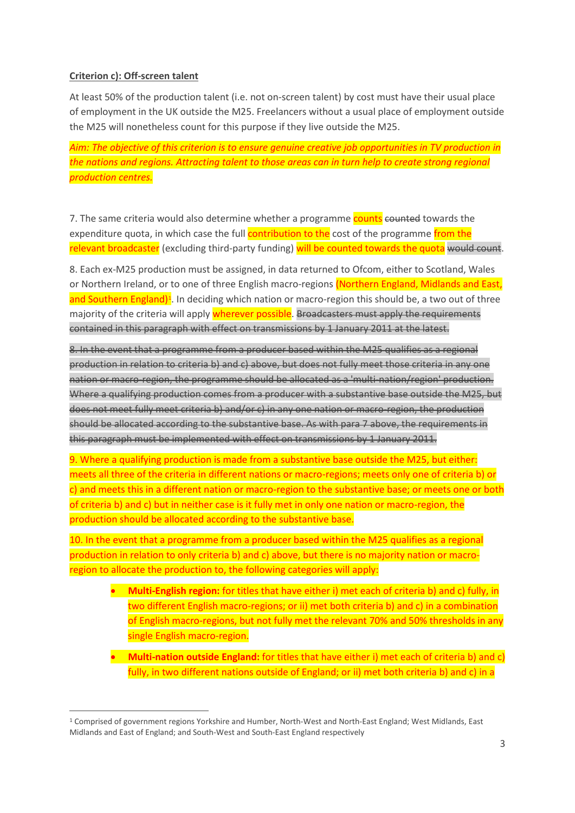#### **Criterion c): Off-screen talent**

At least 50% of the production talent (i.e. not on-screen talent) by cost must have their usual place of employment in the UK outside the M25. Freelancers without a usual place of employment outside the M25 will nonetheless count for this purpose if they live outside the M25.

*Aim: The objective of this criterion is to ensure genuine creative job opportunities in TV production in the nations and regions. Attracting talent to those areas can in turn help to create strong regional production centres.* 

7. The same criteria would also determine whether a programme counts counted towards the expenditure quota, in which case the full **contribution to the** cost of the programme from the relevant broadcaster (excluding third-party funding) will be counted towards the quota would count.

8. Each ex-M25 production must be assigned, in data returned to Ofcom, either to Scotland, Wales or Northern Ireland, or to one of three English macro-regions (Northern England, Midlands and East, and Southern England)<sup>1</sup>. In deciding which nation or macro-region this should be, a two out of three majority of the criteria will apply **wherever possible.** Broadcasters must apply the requirements contained in this paragraph with effect on transmissions by 1 January 2011 at the latest.

8. In the event that a programme from a producer based within the M25 qualifies as a regional production in relation to criteria b) and c) above, but does not fully meet those criteria in any one nation or macro-region, the programme should be allocated as a 'multi-nation/region' production. Where a qualifying production comes from a producer with a substantive base outside the M25, but does not meet fully meet criteria b) and/or c) in any one nation or macro-region, the production should be allocated according to the substantive base. As with para 7 above, the requirements in this paragraph must be implemented with effect on transmissions by 1 January 2011.

9. Where a qualifying production is made from a substantive base outside the M25, but either: meets all three of the criteria in different nations or macro-regions; meets only one of criteria b) or c) and meets this in a different nation or macro-region to the substantive base; or meets one or both of criteria b) and c) but in neither case is it fully met in only one nation or macro-region, the production should be allocated according to the substantive base.

10. In the event that a programme from a producer based within the M25 qualifies as a regional production in relation to only criteria b) and c) above, but there is no majority nation or macroregion to allocate the production to, the following categories will apply:

- **Multi-English region:** for titles that have either i) met each of criteria b) and c) fully, in two different English macro-regions; or ii) met both criteria b) and c) in a combination of English macro-regions, but not fully met the relevant 70% and 50% thresholds in any single English macro-region.
- **Multi-nation outside England:** for titles that have either i) met each of criteria b) and c) fully, in two different nations outside of England; or ii) met both criteria b) and c) in a

<span id="page-2-0"></span> <sup>1</sup> Comprised of government regions Yorkshire and Humber, North-West and North-East England; West Midlands, East Midlands and East of England; and South-West and South-East England respectively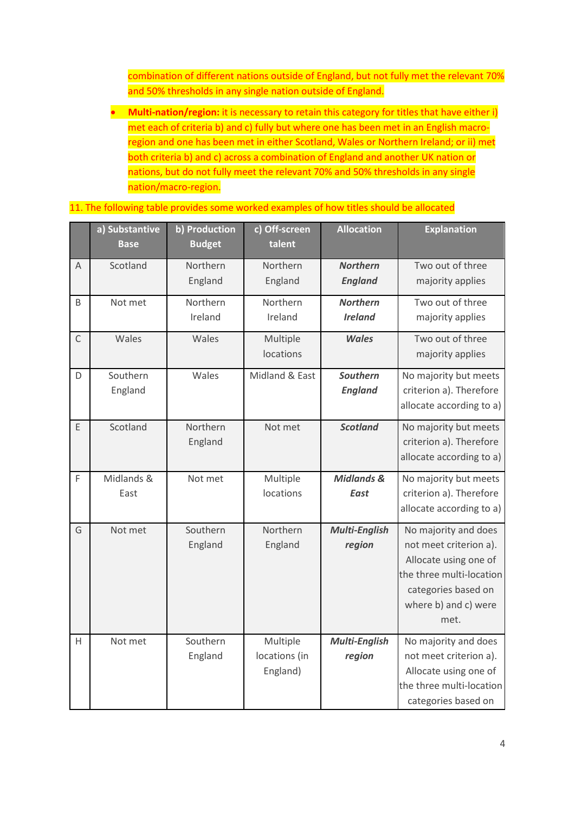combination of different nations outside of England, but not fully met the relevant 70% and 50% thresholds in any single nation outside of England.

• **Multi-nation/region:** it is necessary to retain this category for titles that have either i) met each of criteria b) and c) fully but where one has been met in an English macroregion and one has been met in either Scotland, Wales or Northern Ireland; or ii) met both criteria b) and c) across a combination of England and another UK nation or nations, but do not fully meet the relevant 70% and 50% thresholds in any single nation/macro-region.

11. The following table provides some worked examples of how titles should be allocated

|              | a) Substantive<br><b>Base</b> | b) Production<br><b>Budget</b> | c) Off-screen<br>talent               | <b>Allocation</b>                    | <b>Explanation</b>                                                                                                                                         |
|--------------|-------------------------------|--------------------------------|---------------------------------------|--------------------------------------|------------------------------------------------------------------------------------------------------------------------------------------------------------|
| A            | Scotland                      | Northern<br>England            | Northern<br>England                   | <b>Northern</b><br><b>England</b>    | Two out of three<br>majority applies                                                                                                                       |
| B            | Not met                       | Northern<br>Ireland            | Northern<br>Ireland                   | <b>Northern</b><br><b>Ireland</b>    | Two out of three<br>majority applies                                                                                                                       |
| $\mathsf{C}$ | Wales                         | Wales                          | Multiple<br>locations                 | <b>Wales</b>                         | Two out of three<br>majority applies                                                                                                                       |
| D            | Southern<br>England           | Wales                          | Midland & East                        | <b>Southern</b><br><b>England</b>    | No majority but meets<br>criterion a). Therefore<br>allocate according to a)                                                                               |
| E            | Scotland                      | Northern<br>England            | Not met                               | <b>Scotland</b>                      | No majority but meets<br>criterion a). Therefore<br>allocate according to a)                                                                               |
| F            | Midlands &<br>East            | Not met                        | Multiple<br>locations                 | <b>Midlands &amp;</b><br><b>East</b> | No majority but meets<br>criterion a). Therefore<br>allocate according to a)                                                                               |
| G            | Not met                       | Southern<br>England            | Northern<br>England                   | <b>Multi-English</b><br>region       | No majority and does<br>not meet criterion a).<br>Allocate using one of<br>the three multi-location<br>categories based on<br>where b) and c) were<br>met. |
| H            | Not met                       | Southern<br>England            | Multiple<br>locations (in<br>England) | Multi-English<br>region              | No majority and does<br>not meet criterion a).<br>Allocate using one of<br>the three multi-location<br>categories based on                                 |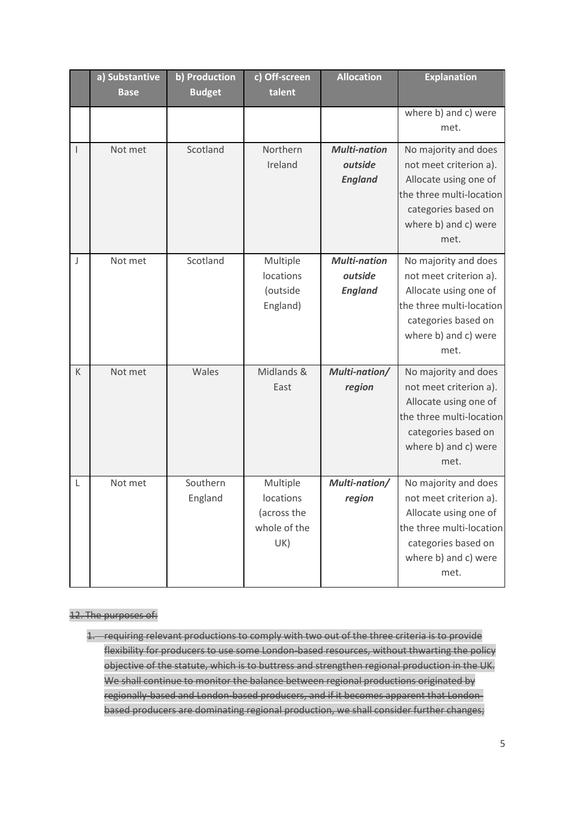|                | a) Substantive<br><b>Base</b> | b) Production<br><b>Budget</b> | c) Off-screen<br>talent                                     | <b>Allocation</b>                                | <b>Explanation</b>                                                                                                                                         |
|----------------|-------------------------------|--------------------------------|-------------------------------------------------------------|--------------------------------------------------|------------------------------------------------------------------------------------------------------------------------------------------------------------|
|                |                               |                                |                                                             |                                                  | where b) and c) were<br>met.                                                                                                                               |
| $\overline{1}$ | Not met                       | Scotland                       | Northern<br>Ireland                                         | <b>Multi-nation</b><br>outside<br><b>England</b> | No majority and does<br>not meet criterion a).<br>Allocate using one of<br>the three multi-location<br>categories based on<br>where b) and c) were<br>met. |
| J              | Not met                       | Scotland                       | Multiple<br>locations<br>(outside<br>England)               | <b>Multi-nation</b><br>outside<br><b>England</b> | No majority and does<br>not meet criterion a).<br>Allocate using one of<br>the three multi-location<br>categories based on<br>where b) and c) were<br>met. |
| K              | Not met                       | Wales                          | Midlands &<br>East                                          | Multi-nation/<br>region                          | No majority and does<br>not meet criterion a).<br>Allocate using one of<br>the three multi-location<br>categories based on<br>where b) and c) were<br>met. |
| L              | Not met                       | Southern<br>England            | Multiple<br>locations<br>(across the<br>whole of the<br>UK) | Multi-nation/<br>region                          | No majority and does<br>not meet criterion a).<br>Allocate using one of<br>the three multi-location<br>categories based on<br>where b) and c) were<br>met. |

#### 12. The purposes of:

1. requiring relevant productions to comply with two out of the three criteria is to provide flexibility for producers to use some London-based resources, without thwarting the policy objective of the statute, which is to buttress and strengthen regional production in the UK. We shall continue to monitor the balance between regional productions originated by regionally-based and London-based producers, and if it becomes apparent that Londonbased producers are dominating regional production, we shall consider further changes;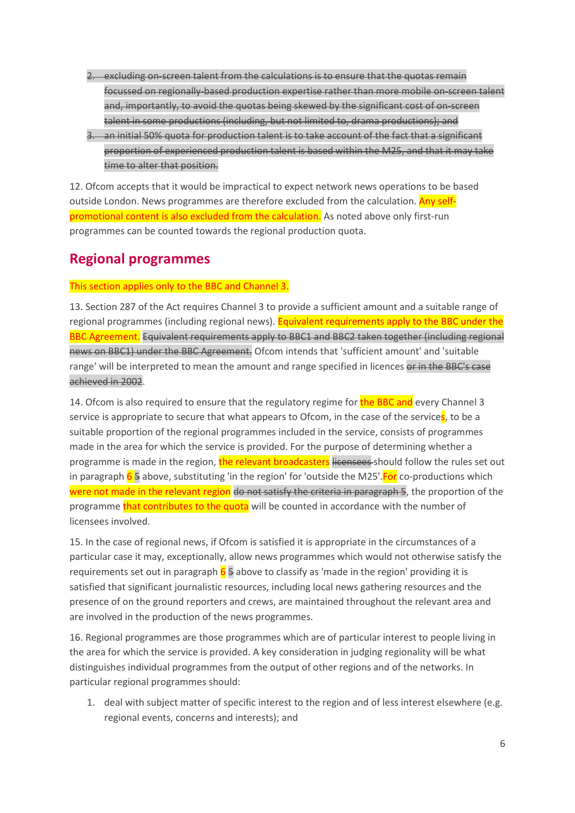- 2. excluding on-screen talent from the calculations is to ensure that the quotas remain focussed on regionally-based production expertise rather than more mobile on-screen talent and, importantly, to avoid the quotas being skewed by the significant cost of on-screen talent in some productions (including, but not limited to, drama productions); and
- 3. an initial 50% quota for production talent is to take account of the fact that a significant proportion of experienced production talent is based within the M25, and that it may take time to alter that position.

12. Ofcom accepts that it would be impractical to expect network news operations to be based outside London. News programmes are therefore excluded from the calculation. Any selfpromotional content is also excluded from the calculation. As noted above only first-run programmes can be counted towards the regional production quota.

## **Regional programmes**

#### This section applies only to the BBC and Channel 3.

13. Section 287 of the Act requires Channel 3 to provide a sufficient amount and a suitable range of regional programmes (including regional news). Equivalent requirements apply to the BBC under the BBC Agreement. Equivalent requirements apply to BBC1 and BBC2 taken together (including regional news on BBC1) under the BBC Agreement. Ofcom intends that 'sufficient amount' and 'suitable range' will be interpreted to mean the amount and range specified in licences or in the BBC's case achieved in 2002.

14. Ofcom is also required to ensure that the regulatory regime for the BBC and every Channel 3 service is appropriate to secure that what appears to Ofcom, in the case of the services, to be a suitable proportion of the regional programmes included in the service, consists of programmes made in the area for which the service is provided. For the purpose of determining whether a programme is made in the region, the relevant broadcasters licensees should follow the rules set out in paragraph  $6\frac{1}{5}$  above, substituting 'in the region' for 'outside the M25'. For co-productions which were not made in the relevant region do not satisfy the criteria in paragraph 5, the proportion of the programme that contributes to the quota will be counted in accordance with the number of licensees involved.

15. In the case of regional news, if Ofcom is satisfied it is appropriate in the circumstances of a particular case it may, exceptionally, allow news programmes which would not otherwise satisfy the requirements set out in paragraph  $6\frac{5}{9}$  above to classify as 'made in the region' providing it is satisfied that significant journalistic resources, including local news gathering resources and the presence of on the ground reporters and crews, are maintained throughout the relevant area and are involved in the production of the news programmes.

16. Regional programmes are those programmes which are of particular interest to people living in the area for which the service is provided. A key consideration in judging regionality will be what distinguishes individual programmes from the output of other regions and of the networks. In particular regional programmes should:

1. deal with subject matter of specific interest to the region and of less interest elsewhere (e.g. regional events, concerns and interests); and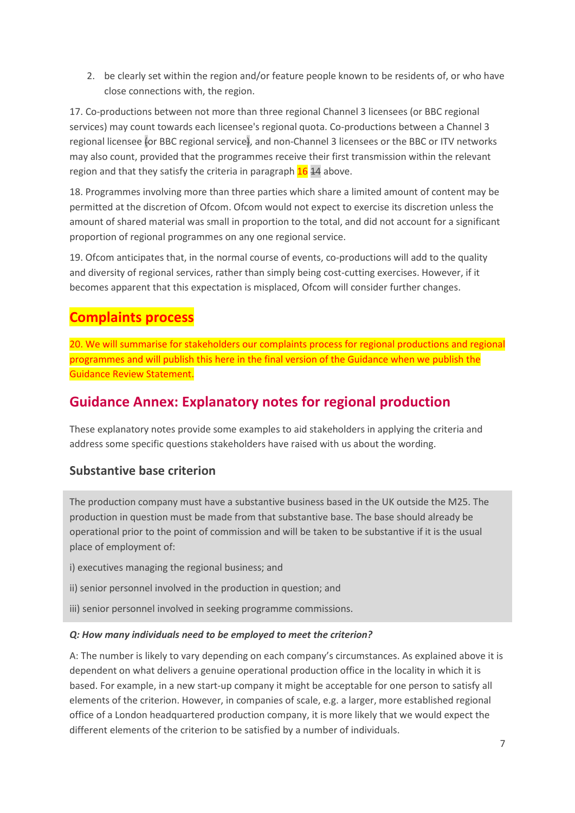2. be clearly set within the region and/or feature people known to be residents of, or who have close connections with, the region.

17. Co-productions between not more than three regional Channel 3 licensees (or BBC regional services) may count towards each licensee's regional quota. Co-productions between a Channel 3 regional licensee (or BBC regional service), and non-Channel 3 licensees or the BBC or ITV networks may also count, provided that the programmes receive their first transmission within the relevant region and that they satisfy the criteria in paragraph  $16$   $14$  above.

18. Programmes involving more than three parties which share a limited amount of content may be permitted at the discretion of Ofcom. Ofcom would not expect to exercise its discretion unless the amount of shared material was small in proportion to the total, and did not account for a significant proportion of regional programmes on any one regional service.

19. Ofcom anticipates that, in the normal course of events, co-productions will add to the quality and diversity of regional services, rather than simply being cost-cutting exercises. However, if it becomes apparent that this expectation is misplaced, Ofcom will consider further changes.

# **Complaints process**

20. We will summarise for stakeholders our complaints process for regional productions and regional programmes and will publish this here in the final version of the Guidance when we publish the Guidance Review Statement.

## **Guidance Annex: Explanatory notes for regional production**

These explanatory notes provide some examples to aid stakeholders in applying the criteria and address some specific questions stakeholders have raised with us about the wording.

### **Substantive base criterion**

The production company must have a substantive business based in the UK outside the M25. The production in question must be made from that substantive base. The base should already be operational prior to the point of commission and will be taken to be substantive if it is the usual place of employment of:

- i) executives managing the regional business; and
- ii) senior personnel involved in the production in question; and
- iii) senior personnel involved in seeking programme commissions.

#### *Q: How many individuals need to be employed to meet the criterion?*

A: The number is likely to vary depending on each company's circumstances. As explained above it is dependent on what delivers a genuine operational production office in the locality in which it is based. For example, in a new start-up company it might be acceptable for one person to satisfy all elements of the criterion. However, in companies of scale, e.g. a larger, more established regional office of a London headquartered production company, it is more likely that we would expect the different elements of the criterion to be satisfied by a number of individuals.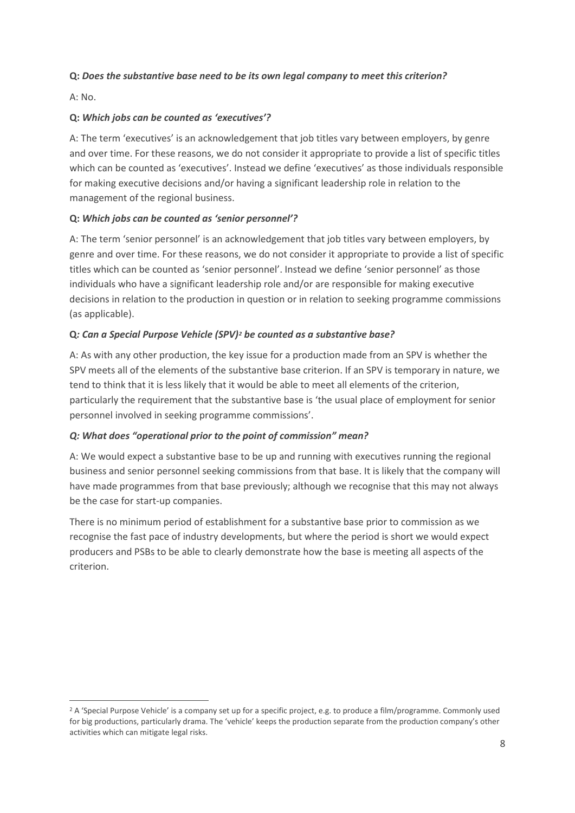#### **Q:** *Does the substantive base need to be its own legal company to meet this criterion?*

A: No.

#### **Q:** *Which jobs can be counted as 'executives'?*

A: The term 'executives' is an acknowledgement that job titles vary between employers, by genre and over time. For these reasons, we do not consider it appropriate to provide a list of specific titles which can be counted as 'executives'. Instead we define 'executives' as those individuals responsible for making executive decisions and/or having a significant leadership role in relation to the management of the regional business.

#### **Q:** *Which jobs can be counted as 'senior personnel'?*

A: The term 'senior personnel' is an acknowledgement that job titles vary between employers, by genre and over time. For these reasons, we do not consider it appropriate to provide a list of specific titles which can be counted as 'senior personnel'. Instead we define 'senior personnel' as those individuals who have a significant leadership role and/or are responsible for making executive decisions in relation to the production in question or in relation to seeking programme commissions (as applicable).

#### **Q***: Can a Special Purpose Vehicle (SPV[\)2](#page-7-0) be counted as a substantive base?*

A: As with any other production, the key issue for a production made from an SPV is whether the SPV meets all of the elements of the substantive base criterion. If an SPV is temporary in nature, we tend to think that it is less likely that it would be able to meet all elements of the criterion, particularly the requirement that the substantive base is 'the usual place of employment for senior personnel involved in seeking programme commissions'.

#### *Q: What does "operational prior to the point of commission" mean?*

A: We would expect a substantive base to be up and running with executives running the regional business and senior personnel seeking commissions from that base. It is likely that the company will have made programmes from that base previously; although we recognise that this may not always be the case for start-up companies.

There is no minimum period of establishment for a substantive base prior to commission as we recognise the fast pace of industry developments, but where the period is short we would expect producers and PSBs to be able to clearly demonstrate how the base is meeting all aspects of the criterion.

<span id="page-7-0"></span><sup>&</sup>lt;sup>2</sup> A 'Special Purpose Vehicle' is a company set up for a specific project, e.g. to produce a film/programme. Commonly used for big productions, particularly drama. The 'vehicle' keeps the production separate from the production company's other activities which can mitigate legal risks.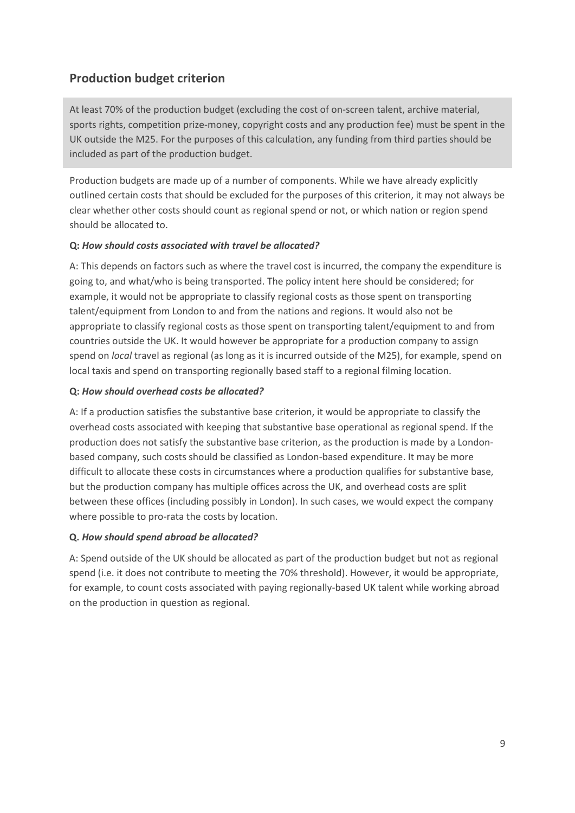## **Production budget criterion**

At least 70% of the production budget (excluding the cost of on-screen talent, archive material, sports rights, competition prize-money, copyright costs and any production fee) must be spent in the UK outside the M25. For the purposes of this calculation, any funding from third parties should be included as part of the production budget.

Production budgets are made up of a number of components. While we have already explicitly outlined certain costs that should be excluded for the purposes of this criterion, it may not always be clear whether other costs should count as regional spend or not, or which nation or region spend should be allocated to.

#### **Q:** *How should costs associated with travel be allocated?*

A: This depends on factors such as where the travel cost is incurred, the company the expenditure is going to, and what/who is being transported. The policy intent here should be considered; for example, it would not be appropriate to classify regional costs as those spent on transporting talent/equipment from London to and from the nations and regions. It would also not be appropriate to classify regional costs as those spent on transporting talent/equipment to and from countries outside the UK. It would however be appropriate for a production company to assign spend on *local* travel as regional (as long as it is incurred outside of the M25), for example, spend on local taxis and spend on transporting regionally based staff to a regional filming location.

#### **Q:** *How should overhead costs be allocated?*

A: If a production satisfies the substantive base criterion, it would be appropriate to classify the overhead costs associated with keeping that substantive base operational as regional spend. If the production does not satisfy the substantive base criterion, as the production is made by a Londonbased company, such costs should be classified as London-based expenditure. It may be more difficult to allocate these costs in circumstances where a production qualifies for substantive base, but the production company has multiple offices across the UK, and overhead costs are split between these offices (including possibly in London). In such cases, we would expect the company where possible to pro-rata the costs by location.

#### **Q.** *How should spend abroad be allocated?*

A: Spend outside of the UK should be allocated as part of the production budget but not as regional spend (i.e. it does not contribute to meeting the 70% threshold). However, it would be appropriate, for example, to count costs associated with paying regionally-based UK talent while working abroad on the production in question as regional.